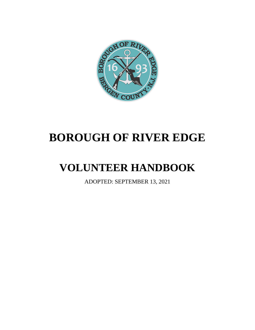

# **BOROUGH OF RIVER EDGE**

# **VOLUNTEER HANDBOOK**

ADOPTED: SEPTEMBER 13, 2021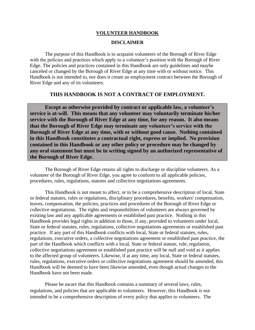#### **VOLUNTEER HANDBOOK**

#### **DISCLAIMER**

The purpose of this Handbook is to acquaint volunteers of the Borough of River Edge with the policies and practices which apply to a volunteer's position with the Borough of River Edge. The policies and practices contained in this Handbook are only guidelines and maybe canceled or changed by the Borough of River Edge at any time with or without notice. This Handbook is not intended to, nor does it create an employment contract between the Borough of River Edge and any of its volunteers.

#### **THIS HANDBOOK IS NOT A CONTRACT OF EMPLOYMENT.**

**Except as otherwise provided by contract or applicable law, a volunteer's service is at-will. This means that any volunteer may voluntarily terminate his/her service with the Borough of River Edge at any time, for any reason. It also means that the Borough of River Edge may terminate any volunteer's service with the Borough of River Edge at any time, with or without good cause. Nothing contained in this Handbook constitutes a contractual right, express or implied. No provision contained in this Handbook or any other policy or procedure may be changed by any oral statement but must be in writing signed by an authorized representative of the Borough of River Edge.**

The Borough of River Edge retains all rights to discharge or discipline volunteers. As a volunteer of the Borough of River Edge, you agree to conform to all applicable policies, procedures, rules, regulations, statutes and collective negotiations agreements.

This Handbook is not meant to affect, or to be a comprehensive description of local, State or federal statutes, rules or regulations, disciplinary procedures, benefits, workers' compensation, leaves, compensation, the policies, practices and procedures of the Borough of River Edge or collective negotiations. The rights and responsibilities of volunteers are always governed by existing law and any applicable agreements or established past practice. Nothing in this Handbook provides legal rights in addition to those, if any, provided to volunteers under local, State or federal statutes, rules, regulations, collective negotiations agreements or established past practice. If any part of this Handbook conflicts with local, State or federal statutes, rules, regulations, executive orders, a collective negotiations agreement or established past practice, the part of the Handbook which conflicts with a local, State or federal statute, rule, regulation, collective negotiations agreement or established past practice will be null and void as it applies to the affected group of volunteers. Likewise, if at any time, any local, State or federal statutes, rules, regulations, executive orders or collective negotiations agreement should be amended, this Handbook will be deemed to have been likewise amended, even though actual changes to the Handbook have not been made.

Please be aware that this Handbook contains a summary of several laws, rules, regulations, and policies that are applicable to volunteers. However, this Handbook is not intended to be a comprehensive description of every policy that applies to volunteers. The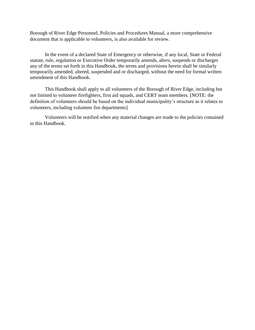Borough of River Edge Personnel, Policies and Procedures Manual, a more comprehensive document that is applicable to volunteers, is also available for review.

In the event of a declared State of Emergency or otherwise, if any local, State or Federal statute, rule, regulation or Executive Order temporarily amends, alters, suspends or discharges any of the terms set forth in this Handbook, the terms and provisions herein shall be similarly temporarily amended, altered, suspended and or discharged, without the need for formal written amendment of this Handbook.

This Handbook shall apply to all volunteers of the Borough of River Edge, including but not limited to volunteer firefighters, first aid squads, and CERT team members. [NOTE: the definition of volunteers should be based on the individual municipality's structure as it relates to volunteers, including volunteer fire departments]

Volunteers will be notified when any material changes are made to the policies contained in this Handbook.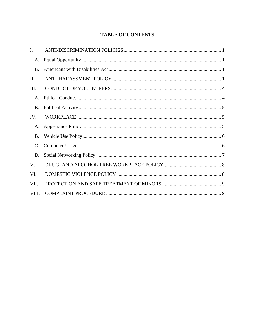#### **TABLE OF CONTENTS**

| I.             |  |
|----------------|--|
| А.             |  |
| <b>B.</b>      |  |
| II.            |  |
| Ш.             |  |
| $\mathsf{A}$ . |  |
| <b>B.</b>      |  |
| IV.            |  |
| A.             |  |
| <b>B.</b>      |  |
| C.             |  |
| D.             |  |
| V.             |  |
| VI.            |  |
| VII.           |  |
| VIII.          |  |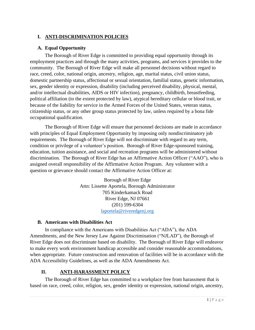## <span id="page-4-0"></span>**I. ANTI-DISCRIMINATION POLICIES**

#### <span id="page-4-1"></span>**A. Equal Opportunity**

The Borough of River Edge is committed to providing equal opportunity through its employment practices and through the many activities, programs, and services it provides to the community. The Borough of River Edge will make all personnel decisions without regard to race, creed, color, national origin, ancestry, religion, age, marital status, civil union status, domestic partnership status, affectional or sexual orientation, familial status, genetic information, sex, gender identity or expression, disability (including perceived disability, physical, mental, and/or intellectual disabilities, AIDS or HIV infection), pregnancy, childbirth, breastfeeding, political affiliation (to the extent protected by law), atypical hereditary cellular or blood trait, or because of the liability for service in the Armed Forces of the United States, veteran status, citizenship status, or any other group status protected by law, unless required by a bona fide occupational qualification.

The Borough of River Edge will ensure that personnel decisions are made in accordance with principles of Equal Employment Opportunity by imposing only nondiscriminatory job requirements. The Borough of River Edge will not discriminate with regard to any term, condition or privilege of a volunteer's position. Borough of River Edge-sponsored training, education, tuition assistance, and social and recreation programs will be administered without discrimination. The Borough of River Edge has an Affirmative Action Officer ("AAO"), who is assigned overall responsibility of the Affirmative Action Program. Any volunteer with a question or grievance should contact the Affirmative Action Officer at:

> Borough of River Edge Attn: Lissette Aportela, Borough Administrator 705 Kinderkamack Road River Edge, NJ 07661 (201) 599-6304 [laportela@riveredgenj.org](mailto:laportela@riveredgenj.org)

#### <span id="page-4-2"></span>**B. Americans with Disabilities Act**

In compliance with the Americans with Disabilities Act ("ADA"), the ADA Amendments, and the New Jersey Law Against Discrimination ("NJLAD"), the Borough of River Edge does not discriminate based on disability. The Borough of River Edge will endeavor to make every work environment handicap accessible and consider reasonable accommodations, when appropriate. Future construction and renovation of facilities will be in accordance with the ADA Accessibility Guidelines, as well as the ADA Amendments Act.

## **II. ANTI-HARASSMENT POLICY**

<span id="page-4-3"></span>The Borough of River Edge has committed to a workplace free from harassment that is based on race, creed, color, religion, sex, gender identity or expression, national origin, ancestry,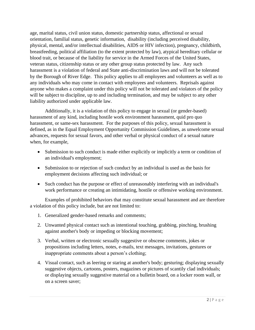age, marital status, civil union status, domestic partnership status, affectional or sexual orientation, familial status, genetic information, disability (including perceived disability, physical, mental, and/or intellectual disabilities, AIDS or HIV infection), pregnancy, childbirth, breastfeeding, political affiliation (to the extent protected by law), atypical hereditary cellular or blood trait, or because of the liability for service in the Armed Forces of the United States, veteran status, citizenship status or any other group status protected by law. Any such harassment is a violation of federal and State anti-discrimination laws and will not be tolerated by the Borough of River Edge. This policy applies to all employees and volunteers as well as to any individuals who may come in contact with employees and volunteers. Reprisals against anyone who makes a complaint under this policy will not be tolerated and violators of the policy will be subject to discipline, up to and including termination, and may be subject to any other liability authorized under applicable law.

Additionally, it is a violation of this policy to engage in sexual (or gender-based) harassment of any kind, including hostile work environment harassment, quid pro quo harassment, or same-sex harassment. For the purposes of this policy, sexual harassment is defined, as in the Equal Employment Opportunity Commission Guidelines, as unwelcome sexual advances, requests for sexual favors, and other verbal or physical conduct of a sexual nature when, for example,

- Submission to such conduct is made either explicitly or implicitly a term or condition of an individual's employment;
- Submission to or rejection of such conduct by an individual is used as the basis for employment decisions affecting such individual; or
- Such conduct has the purpose or effect of unreasonably interfering with an individual's work performance or creating an intimidating, hostile or offensive working environment.

Examples of prohibited behaviors that may constitute sexual harassment and are therefore a violation of this policy include, but are not limited to:

- 1. Generalized gender-based remarks and comments;
- 2. Unwanted physical contact such as intentional touching, grabbing, pinching, brushing against another's body or impeding or blocking movement;
- 3. Verbal, written or electronic sexually suggestive or obscene comments, jokes or propositions including letters, notes, e-mails, text messages, invitations, gestures or inappropriate comments about a person's clothing;
- 4. Visual contact, such as leering or staring at another's body; gesturing; displaying sexually suggestive objects, cartoons, posters, magazines or pictures of scantily clad individuals; or displaying sexually suggestive material on a bulletin board, on a locker room wall, or on a screen saver;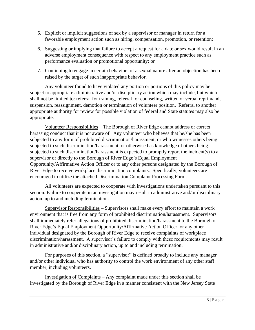- 5. Explicit or implicit suggestions of sex by a supervisor or manager in return for a favorable employment action such as hiring, compensation, promotion, or retention;
- 6. Suggesting or implying that failure to accept a request for a date or sex would result in an adverse employment consequence with respect to any employment practice such as performance evaluation or promotional opportunity; or
- 7. Continuing to engage in certain behaviors of a sexual nature after an objection has been raised by the target of such inappropriate behavior.

Any volunteer found to have violated any portion or portions of this policy may be subject to appropriate administrative and/or disciplinary action which may include, but which shall not be limited to: referral for training, referral for counseling, written or verbal reprimand, suspension, reassignment, demotion or termination of volunteer position. Referral to another appropriate authority for review for possible violation of federal and State statutes may also be appropriate.

Volunteer Responsibilities – The Borough of River Edge cannot address or correct harassing conduct that it is not aware of. Any volunteer who believes that he/she has been subjected to any form of prohibited discrimination/harassment, or who witnesses others being subjected to such discrimination/harassment, or otherwise has knowledge of others being subjected to such discrimination/harassment is expected to promptly report the incident(s) to a supervisor or directly to the Borough of River Edge's Equal Employment Opportunity/Affirmative Action Officer or to any other persons designated by the Borough of River Edge to receive workplace discrimination complaints. Specifically, volunteers are encouraged to utilize the attached Discrimination Complaint Processing Form.

All volunteers are expected to cooperate with investigations undertaken pursuant to this section. Failure to cooperate in an investigation may result in administrative and/or disciplinary action, up to and including termination.

Supervisor Responsibilities – Supervisors shall make every effort to maintain a work environment that is free from any form of prohibited discrimination/harassment. Supervisors shall immediately refer allegations of prohibited discrimination/harassment to the Borough of River Edge's Equal Employment Opportunity/Affirmative Action Officer, or any other individual designated by the Borough of River Edge to receive complaints of workplace discrimination/harassment. A supervisor's failure to comply with these requirements may result in administrative and/or disciplinary action, up to and including termination.

For purposes of this section, a "supervisor" is defined broadly to include any manager and/or other individual who has authority to control the work environment of any other staff member, including volunteers.

Investigation of Complaints – Any complaint made under this section shall be investigated by the Borough of River Edge in a manner consistent with the New Jersey State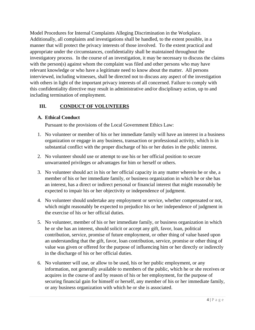Model Procedures for Internal Complaints Alleging Discrimination in the Workplace. Additionally, all complaints and investigations shall be handled, to the extent possible, in a manner that will protect the privacy interests of those involved. To the extent practical and appropriate under the circumstances, confidentiality shall be maintained throughout the investigatory process. In the course of an investigation, it may be necessary to discuss the claims with the person(s) against whom the complaint was filed and other persons who may have relevant knowledge or who have a legitimate need to know about the matter. All persons interviewed, including witnesses, shall be directed not to discuss any aspect of the investigation with others in light of the important privacy interests of all concerned. Failure to comply with this confidentiality directive may result in administrative and/or disciplinary action, up to and including termination of employment.

## <span id="page-7-0"></span>**III. CONDUCT OF VOLUNTEERS**

#### <span id="page-7-1"></span>**A. Ethical Conduct**

Pursuant to the provisions of the Local Government Ethics Law:

- 1. No volunteer or member of his or her immediate family will have an interest in a business organization or engage in any business, transaction or professional activity, which is in substantial conflict with the proper discharge of his or her duties in the public interest.
- 2. No volunteer should use or attempt to use his or her official position to secure unwarranted privileges or advantages for him or herself or others.
- 3. No volunteer should act in his or her official capacity in any matter wherein he or she, a member of his or her immediate family, or business organization in which he or she has an interest, has a direct or indirect personal or financial interest that might reasonably be expected to impair his or her objectivity or independence of judgment.
- 4. No volunteer should undertake any employment or service, whether compensated or not, which might reasonably be expected to prejudice his or her independence of judgment in the exercise of his or her official duties.
- 5. No volunteer, member of his or her immediate family, or business organization in which he or she has an interest, should solicit or accept any gift, favor, loan, political contribution, service, promise of future employment, or other thing of value based upon an understanding that the gift, favor, loan contribution, service, promise or other thing of value was given or offered for the purpose of influencing him or her directly or indirectly in the discharge of his or her official duties.
- 6. No volunteer will use, or allow to be used, his or her public employment, or any information, not generally available to members of the public, which he or she receives or acquires in the course of and by reason of his or her employment, for the purpose of securing financial gain for himself or herself, any member of his or her immediate family, or any business organization with which he or she is associated.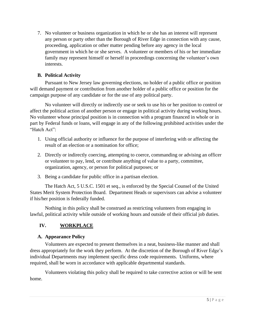7. No volunteer or business organization in which he or she has an interest will represent any person or party other than the Borough of River Edge in connection with any cause, proceeding, application or other matter pending before any agency in the local government in which he or she serves. A volunteer or members of his or her immediate family may represent himself or herself in proceedings concerning the volunteer's own interests.

## <span id="page-8-0"></span>**B. Political Activity**

Pursuant to New Jersey law governing elections, no holder of a public office or position will demand payment or contribution from another holder of a public office or position for the campaign purpose of any candidate or for the use of any political party.

No volunteer will directly or indirectly use or seek to use his or her position to control or affect the political action of another person or engage in political activity during working hours. No volunteer whose principal position is in connection with a program financed in whole or in part by Federal funds or loans, will engage in any of the following prohibited activities under the "Hatch Act":

- 1. Using official authority or influence for the purpose of interfering with or affecting the result of an election or a nomination for office;
- 2. Directly or indirectly coercing, attempting to coerce, commanding or advising an officer or volunteer to pay, lend, or contribute anything of value to a party, committee, organization, agency, or person for political purposes; or
- 3. Being a candidate for public office in a partisan election.

The Hatch Act, 5 U.S.C. 1501 et seq., is enforced by the Special Counsel of the United States Merit System Protection Board. Department Heads or supervisors can advise a volunteer if his/her position is federally funded.

Nothing in this policy shall be construed as restricting volunteers from engaging in lawful, political activity while outside of working hours and outside of their official job duties.

## <span id="page-8-1"></span>**IV. WORKPLACE**

## <span id="page-8-2"></span>**A. Appearance Policy**

Volunteers are expected to present themselves in a neat, business-like manner and shall dress appropriately for the work they perform. At the discretion of the Borough of River Edge's individual Departments may implement specific dress code requirements. Uniforms, where required, shall be worn in accordance with applicable departmental standards.

Volunteers violating this policy shall be required to take corrective action or will be sent home.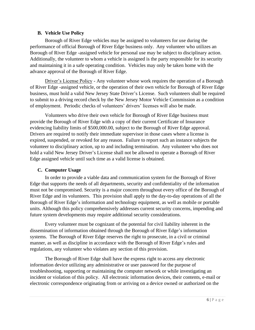#### **B. Vehicle Use Policy**

<span id="page-9-0"></span>Borough of River Edge vehicles may be assigned to volunteers for use during the performance of official Borough of River Edge business only. Any volunteer who utilizes an Borough of River Edge -assigned vehicle for personal use may be subject to disciplinary action. Additionally, the volunteer to whom a vehicle is assigned is the party responsible for its security and maintaining it in a safe operating condition. Vehicles may only be taken home with the advance approval of the Borough of River Edge.

Driver's License Policy - Any volunteer whose work requires the operation of a Borough of River Edge -assigned vehicle, or the operation of their own vehicle for Borough of River Edge business, must hold a valid New Jersey State Driver's License. Such volunteers shall be required to submit to a driving record check by the New Jersey Motor Vehicle Commission as a condition of employment. Periodic checks of volunteers' drivers' licenses will also be made.

Volunteers who drive their own vehicle for Borough of River Edge business must provide the Borough of River Edge with a copy of their current Certificate of Insurance evidencing liability limits of \$500,000.00, subject to the Borough of River Edge approval. Drivers are required to notify their immediate supervisor in those cases where a license is expired, suspended, or revoked for any reason. Failure to report such an instance subjects the volunteer to disciplinary action, up to and including termination. Any volunteer who does not hold a valid New Jersey Driver's License shall not be allowed to operate a Borough of River Edge assigned vehicle until such time as a valid license is obtained.

## <span id="page-9-1"></span>**C. Computer Usage**

In order to provide a viable data and communication system for the Borough of River Edge that supports the needs of all departments, security and confidentiality of the information must not be compromised. Security is a major concern throughout every office of the Borough of River Edge and its volunteers. This provision shall apply to the day-to-day operations of all the Borough of River Edge's information and technology equipment, as well as mobile or portable units. Although this policy comprehensively addresses current security concerns, impending and future system developments may require additional security considerations.

Every volunteer must be cognizant of the potential for civil liability inherent in the dissemination of information obtained through the Borough of River Edge's information systems. The Borough of River Edge reserves the right to prosecute, in a civil or criminal manner, as well as discipline in accordance with the Borough of River Edge's rules and regulations, any volunteer who violates any section of this provision.

The Borough of River Edge shall have the express right to access any electronic information device utilizing any administrative or user password for the purpose of troubleshooting, supporting or maintaining the computer network or while investigating an incident or violation of this policy. All electronic information devices, their contents, e-mail or electronic correspondence originating from or arriving on a device owned or authorized on the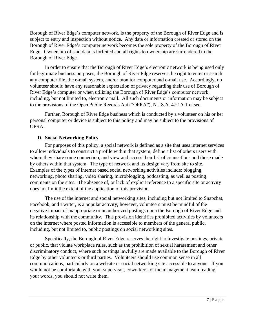Borough of River Edge's computer network, is the property of the Borough of River Edge and is subject to entry and inspection without notice. Any data or information created or stored on the Borough of River Edge's computer network becomes the sole property of the Borough of River Edge. Ownership of said data is forfeited and all rights to ownership are surrendered to the Borough of River Edge.

In order to ensure that the Borough of River Edge's electronic network is being used only for legitimate business purposes, the Borough of River Edge reserves the right to enter or search any computer file, the e-mail system, and/or monitor computer and e-mail use. Accordingly, no volunteer should have any reasonable expectation of privacy regarding their use of Borough of River Edge's computer or when utilizing the Borough of River Edge's computer network, including, but not limited to, electronic mail. All such documents or information may be subject to the provisions of the Open Public Records Act ("OPRA"), N.J.S.A. 47:1A-1 et seq.

Further, Borough of River Edge business which is conducted by a volunteer on his or her personal computer or device is subject to this policy and may be subject to the provisions of OPRA.

#### <span id="page-10-0"></span>**D. Social Networking Policy**

For purposes of this policy, a social network is defined as a site that uses internet services to allow individuals to construct a profile within that system, define a list of others users with whom they share some connection, and view and access their list of connections and those made by others within that system. The type of network and its design vary from site to site. Examples of the types of internet based social networking activities include: blogging, networking, photo sharing, video sharing, microblogging, podcasting, as well as posting comments on the sites. The absence of, or lack of explicit reference to a specific site or activity does not limit the extent of the application of this provision.

The use of the internet and social networking sites, including but not limited to Snapchat, Facebook, and Twitter, is a popular activity; however, volunteers must be mindful of the negative impact of inappropriate or unauthorized postings upon the Borough of River Edge and its relationship with the community. This provision identifies prohibited activities by volunteers on the internet where posted information is accessible to members of the general public, including, but not limited to, public postings on social networking sites.

Specifically, the Borough of River Edge reserves the right to investigate postings, private or public, that violate workplace rules, such as the prohibition of sexual harassment and other discriminatory conduct, where such postings lawfully are made available to the Borough of River Edge by other volunteers or third parties. Volunteers should use common sense in all communications, particularly on a website or social networking site accessible to anyone. If you would not be comfortable with your supervisor, coworkers, or the management team reading your words, you should not write them.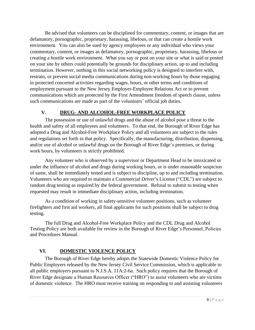Be advised that volunteers can be disciplined for commentary, content, or images that are defamatory, pornographic, proprietary, harassing, libelous, or that can create a hostile work environment. You can also be sued by agency employees or any individual who views your commentary, content, or images as defamatory, pornographic, proprietary, harassing, libelous or creating a hostile work environment. What you say or post on your site or what is said or posted on your site by others could potentially be grounds for disciplinary action, up to and including termination. However, nothing in this social networking policy is designed to interfere with, restrain, or prevent social media communications during non-working hours by those engaging in protected concerted activities regarding wages, hours, or other terms and conditions of employment pursuant to the New Jersey Employer-Employee Relations Act or to prevent communications which are protected by the First Amendment freedom of speech clause, unless such communications are made as part of the volunteers' official job duties.

## **V. DRUG- AND ALCOHOL-FREE WORKPLACE POLICY**

<span id="page-11-0"></span>The possession or use of unlawful drugs and the abuse of alcohol pose a threat to the health and safety of all employees and volunteers. To that end, the Borough of River Edge has adopted a Drug and Alcohol-Free Workplace Policy and all volunteers are subject to the rules and regulations set forth in that policy. Specifically, the manufacturing, distribution, dispensing, and/or use of alcohol or unlawful drugs on the Borough of River Edge's premises, or during work hours, by volunteers is strictly prohibited.

Any volunteer who is observed by a supervisor or Department Head to be intoxicated or under the influence of alcohol and drugs during working hours, or is under reasonable suspicion of same, shall be immediately tested and is subject to discipline, up to and including termination. Volunteers who are required to maintain a Commercial Driver's License ("CDL") are subject to random drug testing as required by the federal government. Refusal to submit to testing when requested may result in immediate disciplinary action, including termination.

As a condition of working in safety-sensitive volunteer positions, such as volunteer firefighters and first aid workers, all final applicants for such positions shall be subject to drug testing.

The full Drug and Alcohol-Free Workplace Policy and the CDL Drug and Alcohol Testing Policy are both available for review in the Borough of River Edge's Personnel, Policies and Procedures Manual.

## <span id="page-11-1"></span>**VI. DOMESTIC VIOLENCE POLICY**

The Borough of River Edge hereby adopts the Statewide Domestic Violence Policy for Public Employers released by the New Jersey Civil Service Commission, which is applicable to all public employers pursuant to N.J.S.A. 11A:2-6a. Such policy requires that the Borough of River Edge designate a Human Resources Officer ("HRO") to assist volunteers who are victims of domestic violence. The HRO must receive training on responding to and assisting volunteers